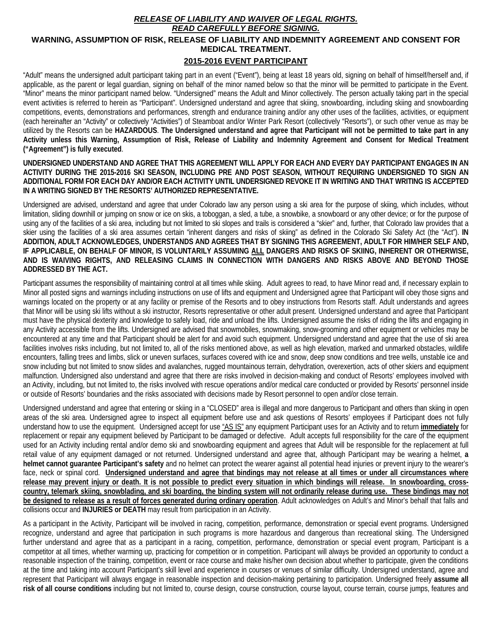## *RELEASE OF LIABILITY AND WAIVER OF LEGAL RIGHTS.*

## *READ CAREFULLY BEFORE SIGNING.*

## **WARNING, ASSUMPTION OF RISK, RELEASE OF LIABILITY AND INDEMNITY AGREEMENT AND CONSENT FOR MEDICAL TREATMENT.**

## **2015-2016 EVENT PARTICIPANT**

"Adult" means the undersigned adult participant taking part in an event ("Event"), being at least 18 years old, signing on behalf of himself/herself and, if applicable, as the parent or legal guardian, signing on behalf of the minor named below so that the minor will be permitted to participate in the Event. "Minor" means the minor participant named below. "Undersigned" means the Adult and Minor collectively. The person actually taking part in the special event activities is referred to herein as "Participant". Undersigned understand and agree that skiing, snowboarding, including skiing and snowboarding competitions, events, demonstrations and performances, strength and endurance training and/or any other uses of the facilities, activities, or equipment (each hereinafter an "Activity" or collectively "Activities") of Steamboat and/or Winter Park Resort (collectively "Resorts"), or such other venue as may be utilized by the Resorts can be **HAZARDOUS**. **The Undersigned understand and agree that Participant will not be permitted to take part in any Activity unless this Warning, Assumption of Risk, Release of Liability and Indemnity Agreement and Consent for Medical Treatment ("Agreement") is fully executed**.

**UNDERSIGNED UNDERSTAND AND AGREE THAT THIS AGREEMENT WILL APPLY FOR EACH AND EVERY DAY PARTICIPANT ENGAGES IN AN ACTIVITY DURING THE 2015-2016 SKI SEASON, INCLUDING PRE AND POST SEASON, WITHOUT REQUIRING UNDERSIGNED TO SIGN AN ADDITIONAL FORM FOR EACH DAY AND/OR EACH ACTIVITY UNTIL UNDERSIGNED REVOKE IT IN WRITING AND THAT WRITING IS ACCEPTED IN A WRITING SIGNED BY THE RESORTS' AUTHORIZED REPRESENTATIVE.** 

Undersigned are advised, understand and agree that under Colorado law any person using a ski area for the purpose of skiing, which includes, without limitation, sliding downhill or jumping on snow or ice on skis, a toboggan, a sled, a tube, a snowbike, a snowboard or any other device; or for the purpose of using any of the facilities of a ski area, including but not limited to ski slopes and trails is considered a "skier" and, further, that Colorado law provides that a skier using the facilities of a ski area assumes certain "inherent dangers and risks of skiing" as defined in the Colorado Ski Safety Act (the "Act"). **IN ADDITION, ADULT ACKNOWLEDGES, UNDERSTANDS AND AGREES THAT BY SIGNING THIS AGREEMENT, ADULT FOR HIM/HER SELF AND, IF APPLICABLE, ON BEHALF OF MINOR, IS VOLUNTARILY ASSUMING ALL DANGERS AND RISKS OF SKIING, INHERENT OR OTHERWISE, AND IS WAIVING RIGHTS, AND RELEASING CLAIMS IN CONNECTION WITH DANGERS AND RISKS ABOVE AND BEYOND THOSE ADDRESSED BY THE ACT.**

Participant assumes the responsibility of maintaining control at all times while skiing. Adult agrees to read, to have Minor read and, if necessary explain to Minor all posted signs and warnings including instructions on use of lifts and equipment and Undersigned agree that Participant will obey those signs and warnings located on the property or at any facility or premise of the Resorts and to obey instructions from Resorts staff. Adult understands and agrees that Minor will be using ski lifts without a ski instructor, Resorts representative or other adult present. Undersigned understand and agree that Participant must have the physical dexterity and knowledge to safely load, ride and unload the lifts. Undersigned assume the risks of riding the lifts and engaging in any Activity accessible from the lifts. Undersigned are advised that snowmobiles, snowmaking, snow-grooming and other equipment or vehicles may be encountered at any time and that Participant should be alert for and avoid such equipment. Undersigned understand and agree that the use of ski area facilities involves risks including, but not limited to, all of the risks mentioned above, as well as high elevation, marked and unmarked obstacles, wildlife encounters, falling trees and limbs, slick or uneven surfaces, surfaces covered with ice and snow, deep snow conditions and tree wells, unstable ice and snow including but not limited to snow slides and avalanches, rugged mountainous terrain, dehydration, overexertion, acts of other skiers and equipment malfunction. Undersigned also understand and agree that there are risks involved in decision-making and conduct of Resorts' employees involved with an Activity, including, but not limited to, the risks involved with rescue operations and/or medical care conducted or provided by Resorts' personnel inside or outside of Resorts' boundaries and the risks associated with decisions made by Resort personnel to open and/or close terrain.

Undersigned understand and agree that entering or skiing in a "CLOSED" area is illegal and more dangerous to Participant and others than skiing in open areas of the ski area. Undersigned agree to inspect all equipment before use and ask questions of Resorts' employees if Participant does not fully understand how to use the equipment. Undersigned accept for use "AS IS" any equipment Participant uses for an Activity and to return **immediately** for replacement or repair any equipment believed by Participant to be damaged or defective. Adult accepts full responsibility for the care of the equipment used for an Activity including rental and/or demo ski and snowboarding equipment and agrees that Adult will be responsible for the replacement at full retail value of any equipment damaged or not returned. Undersigned understand and agree that, although Participant may be wearing a helmet, **a helmet cannot guarantee Participant's safety** and no helmet can protect the wearer against all potential head injuries or prevent injury to the wearer's face, neck or spinal cord. **Undersigned understand and agree that bindings may not release at all times or under all circumstances where release may prevent injury or death. It is not possible to predict every situation in which bindings will release. In snowboarding, crosscountry, telemark skiing, snowblading, and ski boarding, the binding system will not ordinarily release during use. These bindings may not be designed to release as a result of forces generated during ordinary operation**. Adult acknowledges on Adult's and Minor's behalf that falls and collisions occur and **INJURIES or DEATH** may result from participation in an Activity.

As a participant in the Activity, Participant will be involved in racing, competition, performance, demonstration or special event programs. Undersigned recognize, understand and agree that participation in such programs is more hazardous and dangerous than recreational skiing. The Undersigned further understand and agree that as a participant in a racing, competition, performance, demonstration or special event program, Participant is a competitor at all times, whether warming up, practicing for competition or in competition. Participant will always be provided an opportunity to conduct a reasonable inspection of the training, competition, event or race course and make his/her own decision about whether to participate, given the conditions at the time and taking into account Participant's skill level and experience in courses or venues of similar difficulty. Undersigned understand, agree and represent that Participant will always engage in reasonable inspection and decision-making pertaining to participation. Undersigned freely **assume all risk of all course conditions** including but not limited to, course design, course construction, course layout, course terrain, course jumps, features and